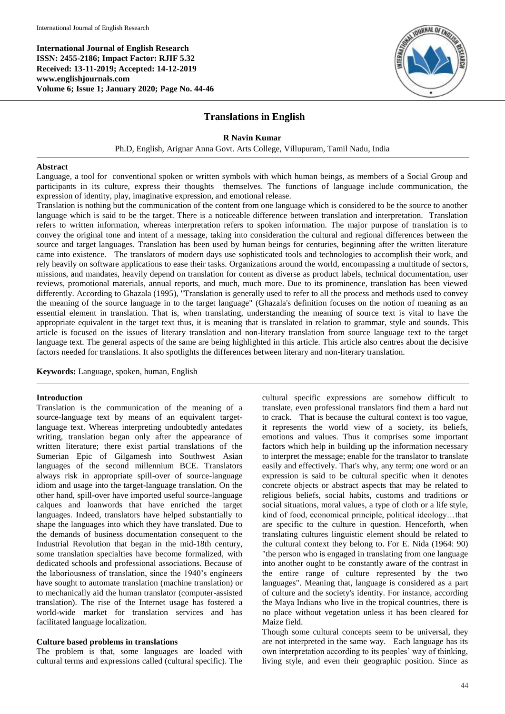**International Journal of English Research ISSN: 2455-2186; Impact Factor: RJIF 5.32 Received: 13-11-2019; Accepted: 14-12-2019 www.englishjournals.com Volume 6; Issue 1; January 2020; Page No. 44-46**



# **Translations in English**

**R Navin Kumar**

Ph.D, English, Arignar Anna Govt. Arts College, Villupuram, Tamil Nadu, India

#### **Abstract**

Language, a tool for conventional spoken or written symbols with which human beings, as members of a Social Group and participants in its culture, express their thoughts themselves. The functions of language include communication, the expression of identity, play, imaginative expression, and emotional release.

Translation is nothing but the communication of the content from one language which is considered to be the source to another language which is said to be the target. There is a noticeable difference between translation and interpretation. Translation refers to written information, whereas interpretation refers to spoken information. The major purpose of translation is to convey the original tone and intent of a message, taking into consideration the cultural and regional differences between the source and target languages. Translation has been used by human beings for centuries, beginning after the written literature came into existence. The translators of modern days use sophisticated tools and technologies to accomplish their work, and rely heavily on software applications to ease their tasks. Organizations around the world, encompassing a multitude of sectors, missions, and mandates, heavily depend on translation for content as diverse as product labels, technical documentation, user reviews, promotional materials, annual reports, and much, much more. Due to its prominence, translation has been viewed differently. According to Ghazala (1995), "Translation is generally used to refer to all the process and methods used to convey the meaning of the source language in to the target language" (Ghazala's definition focuses on the notion of meaning as an essential element in translation. That is, when translating, understanding the meaning of source text is vital to have the appropriate equivalent in the target text thus, it is meaning that is translated in relation to grammar, style and sounds. This article is focused on the issues of literary translation and non-literary translation from source language text to the target language text. The general aspects of the same are being highlighted in this article. This article also centres about the decisive factors needed for translations. It also spotlights the differences between literary and non-literary translation.

**Keywords:** Language, spoken, human, English

### **Introduction**

Translation is the communication of the meaning of a source-language text by means of an equivalent targetlanguage text. Whereas interpreting undoubtedly antedates writing, translation began only after the appearance of written literature; there exist partial translations of the Sumerian Epic of Gilgamesh into Southwest Asian languages of the second millennium BCE. Translators always risk in appropriate spill-over of source-language idiom and usage into the target-language translation. On the other hand, spill-over have imported useful source-language calques and loanwords that have enriched the target languages. Indeed, translators have helped substantially to shape the languages into which they have translated. Due to the demands of business documentation consequent to the Industrial Revolution that began in the mid-18th century, some translation specialties have become formalized, with dedicated schools and professional associations. Because of the laboriousness of translation, since the 1940's engineers have sought to automate translation (machine translation) or to mechanically aid the human translator (computer-assisted translation). The rise of the Internet usage has fostered a world-wide market for translation services and has facilitated language localization.

#### **Culture based problems in translations**

The problem is that, some languages are loaded with cultural terms and expressions called (cultural specific). The cultural specific expressions are somehow difficult to translate, even professional translators find them a hard nut to crack. That is because the cultural context is too vague, it represents the world view of a society, its beliefs, emotions and values. Thus it comprises some important factors which help in building up the information necessary to interpret the message; enable for the translator to translate easily and effectively. That's why, any term; one word or an expression is said to be cultural specific when it denotes concrete objects or abstract aspects that may be related to religious beliefs, social habits, customs and traditions or social situations, moral values, a type of cloth or a life style, kind of food, economical principle, political ideology…that are specific to the culture in question. Henceforth, when translating cultures linguistic element should be related to the cultural context they belong to. For E. Nida (1964: 90) "the person who is engaged in translating from one language into another ought to be constantly aware of the contrast in the entire range of culture represented by the two languages". Meaning that, language is considered as a part of culture and the society's identity. For instance, according the Maya Indians who live in the tropical countries, there is no place without vegetation unless it has been cleared for Maize field.

Though some cultural concepts seem to be universal, they are not interpreted in the same way. Each language has its own interpretation according to its peoples' way of thinking, living style, and even their geographic position. Since as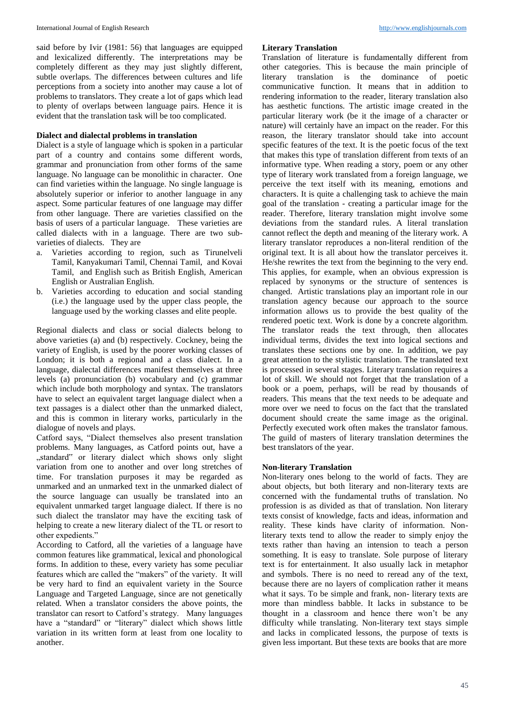said before by Ivir (1981: 56) that languages are equipped and lexicalized differently. The interpretations may be completely different as they may just slightly different, subtle overlaps. The differences between cultures and life perceptions from a society into another may cause a lot of problems to translators. They create a lot of gaps which lead to plenty of overlaps between language pairs. Hence it is evident that the translation task will be too complicated.

### **Dialect and dialectal problems in translation**

Dialect is a style of language which is spoken in a particular part of a country and contains some different words, grammar and pronunciation from other forms of the same language. No language can be monolithic in character. One can find varieties within the language. No single language is absolutely superior or inferior to another language in any aspect. Some particular features of one language may differ from other language. There are varieties classified on the basis of users of a particular language. These varieties are called dialects with in a language. There are two subvarieties of dialects. They are

- a. Varieties according to region, such as Tirunelveli Tamil, Kanyakumari Tamil, Chennai Tamil, and Kovai Tamil, and English such as British English, American English or Australian English.
- b. Varieties according to education and social standing (i.e.) the language used by the upper class people, the language used by the working classes and elite people.

Regional dialects and class or social dialects belong to above varieties (a) and (b) respectively. Cockney, being the variety of English, is used by the poorer working classes of London; it is both a regional and a class dialect. In a language, dialectal differences manifest themselves at three levels (a) pronunciation (b) vocabulary and (c) grammar which include both morphology and syntax. The translators have to select an equivalent target language dialect when a text passages is a dialect other than the unmarked dialect, and this is common in literary works, particularly in the dialogue of novels and plays.

Catford says, "Dialect themselves also present translation problems. Many languages, as Catford points out, have a "standard" or literary dialect which shows only slight variation from one to another and over long stretches of time. For translation purposes it may be regarded as unmarked and an unmarked text in the unmarked dialect of the source language can usually be translated into an equivalent unmarked target language dialect. If there is no such dialect the translator may have the exciting task of helping to create a new literary dialect of the TL or resort to other expedients."

According to Catford, all the varieties of a language have common features like grammatical, lexical and phonological forms. In addition to these, every variety has some peculiar features which are called the "makers" of the variety. It will be very hard to find an equivalent variety in the Source Language and Targeted Language, since are not genetically related. When a translator considers the above points, the translator can resort to Catford's strategy. Many languages have a "standard" or "literary" dialect which shows little variation in its written form at least from one locality to another.

### **Literary Translation**

Translation of literature is fundamentally different from other categories. This is because the main principle of translation is the dominance of poetic communicative function. It means that in addition to rendering information to the reader, literary translation also has aesthetic functions. The artistic image created in the particular literary work (be it the image of a character or nature) will certainly have an impact on the reader. For this reason, the literary translator should take into account specific features of the text. It is the poetic focus of the text that makes this type of translation different from texts of an informative type. When reading a story, poem or any other type of literary work translated from a foreign language, we perceive the text itself with its meaning, emotions and characters. It is quite a challenging task to achieve the main goal of the translation - creating a particular image for the reader. Therefore, literary translation might involve some deviations from the standard rules. A literal translation cannot reflect the depth and meaning of the literary work. A literary translator reproduces a non-literal rendition of the original text. It is all about how the translator perceives it. He/she rewrites the text from the beginning to the very end. This applies, for example, when an obvious expression is replaced by synonyms or the structure of sentences is changed. Artistic translations play an important role in our translation agency because our approach to the source information allows us to provide the best quality of the rendered poetic text. Work is done by a concrete algorithm. The translator reads the text through, then allocates individual terms, divides the text into logical sections and translates these sections one by one. In addition, we pay great attention to the stylistic translation. The translated text is processed in several stages. Literary translation requires a lot of skill. We should not forget that the translation of a book or a poem, perhaps, will be read by thousands of readers. This means that the text needs to be adequate and more over we need to focus on the fact that the translated document should create the same image as the original. Perfectly executed work often makes the translator famous. The guild of masters of literary translation determines the best translators of the year.

# **Non-literary Translation**

Non-literary ones belong to the world of facts. They are about objects, but both literary and non-literary texts are concerned with the fundamental truths of translation. No profession is as divided as that of translation. Non literary texts consist of knowledge, facts and ideas, information and reality. These kinds have clarity of information. Nonliterary texts tend to allow the reader to simply enjoy the texts rather than having an intension to teach a person something. It is easy to translate. Sole purpose of literary text is for entertainment. It also usually lack in metaphor and symbols. There is no need to reread any of the text, because there are no layers of complication rather it means what it says. To be simple and frank, non- literary texts are more than mindless babble. It lacks in substance to be thought in a classroom and hence there won't be any difficulty while translating. Non-literary text stays simple and lacks in complicated lessons, the purpose of texts is given less important. But these texts are books that are more